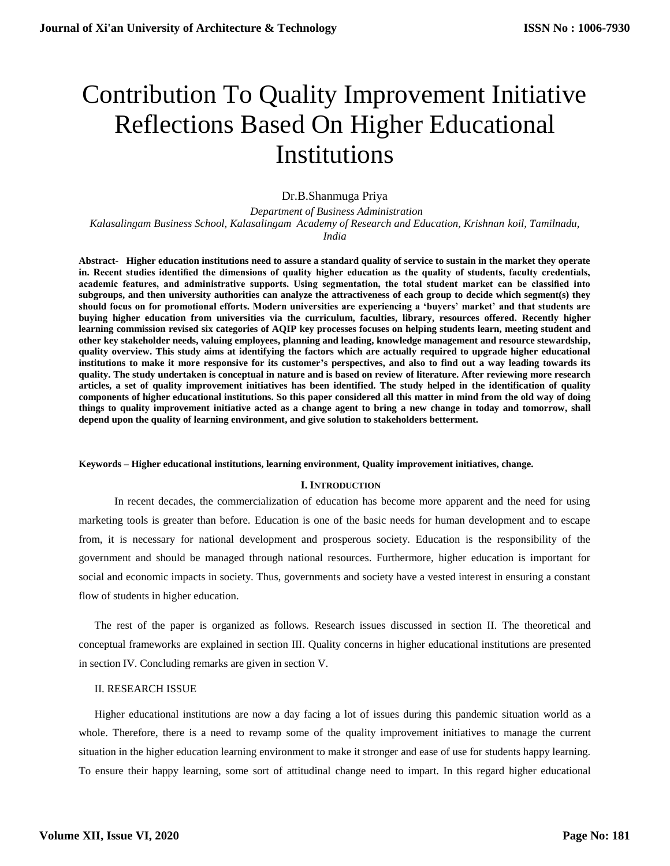# Contribution To Quality Improvement Initiative Reflections Based On Higher Educational Institutions

# Dr.B.Shanmuga Priya

 *Department of Business Administration Kalasalingam Business School, Kalasalingam Academy of Research and Education, Krishnan koil, Tamilnadu, India*

**Abstract- Higher education institutions need to assure a standard quality of service to sustain in the market they operate in. Recent studies identified the dimensions of quality higher education as the quality of students, faculty credentials, academic features, and administrative supports. Using segmentation, the total student market can be classified into subgroups, and then university authorities can analyze the attractiveness of each group to decide which segment(s) they should focus on for promotional efforts. Modern universities are experiencing a 'buyers' market' and that students are buying higher education from universities via the curriculum, faculties, library, resources offered. Recently higher learning commission revised six categories of AQIP key processes focuses on helping students learn, meeting student and other key stakeholder needs, valuing employees, planning and leading, knowledge management and resource stewardship, quality overview. This study aims at identifying the factors which are actually required to upgrade higher educational institutions to make it more responsive for its customer's perspectives, and also to find out a way leading towards its quality. The study undertaken is conceptual in nature and is based on review of literature. After reviewing more research articles, a set of quality improvement initiatives has been identified. The study helped in the identification of quality components of higher educational institutions. So this paper considered all this matter in mind from the old way of doing things to quality improvement initiative acted as a change agent to bring a new change in today and tomorrow, shall depend upon the quality of learning environment, and give solution to stakeholders betterment.**

#### **Keywords – Higher educational institutions, learning environment, Quality improvement initiatives, change.**

## **I. INTRODUCTION**

 In recent decades, the commercialization of education has become more apparent and the need for using marketing tools is greater than before. Education is one of the basic needs for human development and to escape from, it is necessary for national development and prosperous society. Education is the responsibility of the government and should be managed through national resources. Furthermore, higher education is important for social and economic impacts in society. Thus, governments and society have a vested interest in ensuring a constant flow of students in higher education.

The rest of the paper is organized as follows. Research issues discussed in section II. The theoretical and conceptual frameworks are explained in section III. Quality concerns in higher educational institutions are presented in section IV. Concluding remarks are given in section V.

# II. RESEARCH ISSUE

Higher educational institutions are now a day facing a lot of issues during this pandemic situation world as a whole. Therefore, there is a need to revamp some of the quality improvement initiatives to manage the current situation in the higher education learning environment to make it stronger and ease of use for students happy learning. To ensure their happy learning, some sort of attitudinal change need to impart. In this regard higher educational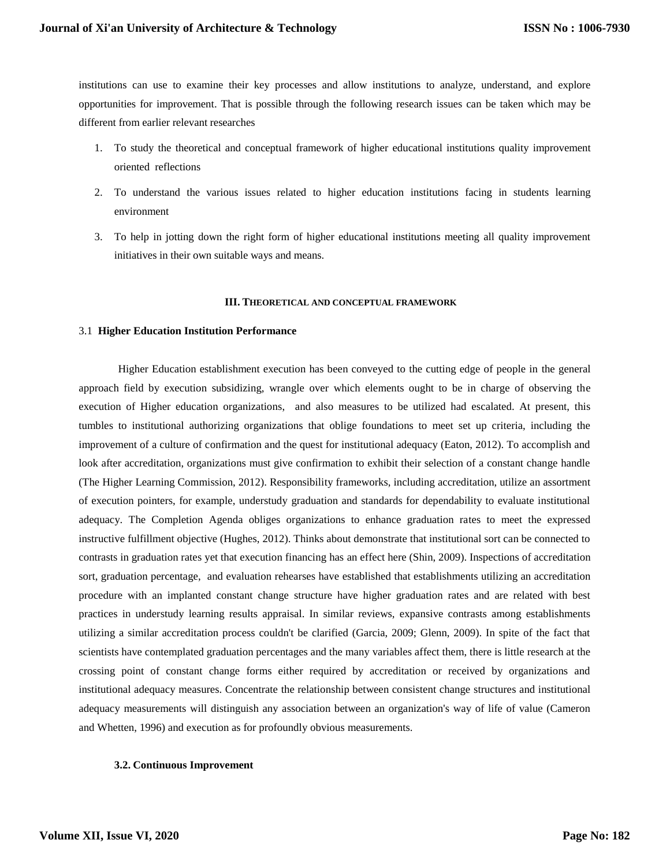institutions can use to examine their key processes and allow institutions to analyze, understand, and explore opportunities for improvement. That is possible through the following research issues can be taken which may be different from earlier relevant researches

- 1. To study the theoretical and conceptual framework of higher educational institutions quality improvement oriented reflections
- 2. To understand the various issues related to higher education institutions facing in students learning environment
- 3. To help in jotting down the right form of higher educational institutions meeting all quality improvement initiatives in their own suitable ways and means.

## **III. THEORETICAL AND CONCEPTUAL FRAMEWORK**

## 3.1 **Higher Education Institution Performance**

Higher Education establishment execution has been conveyed to the cutting edge of people in the general approach field by execution subsidizing, wrangle over which elements ought to be in charge of observing the execution of Higher education organizations, and also measures to be utilized had escalated. At present, this tumbles to institutional authorizing organizations that oblige foundations to meet set up criteria, including the improvement of a culture of confirmation and the quest for institutional adequacy (Eaton, 2012). To accomplish and look after accreditation, organizations must give confirmation to exhibit their selection of a constant change handle (The Higher Learning Commission, 2012). Responsibility frameworks, including accreditation, utilize an assortment of execution pointers, for example, understudy graduation and standards for dependability to evaluate institutional adequacy. The Completion Agenda obliges organizations to enhance graduation rates to meet the expressed instructive fulfillment objective (Hughes, 2012). Thinks about demonstrate that institutional sort can be connected to contrasts in graduation rates yet that execution financing has an effect here (Shin, 2009). Inspections of accreditation sort, graduation percentage, and evaluation rehearses have established that establishments utilizing an accreditation procedure with an implanted constant change structure have higher graduation rates and are related with best practices in understudy learning results appraisal. In similar reviews, expansive contrasts among establishments utilizing a similar accreditation process couldn't be clarified (Garcia, 2009; Glenn, 2009). In spite of the fact that scientists have contemplated graduation percentages and the many variables affect them, there is little research at the crossing point of constant change forms either required by accreditation or received by organizations and institutional adequacy measures. Concentrate the relationship between consistent change structures and institutional adequacy measurements will distinguish any association between an organization's way of life of value (Cameron and Whetten, 1996) and execution as for profoundly obvious measurements.

## **3.2. Continuous Improvement**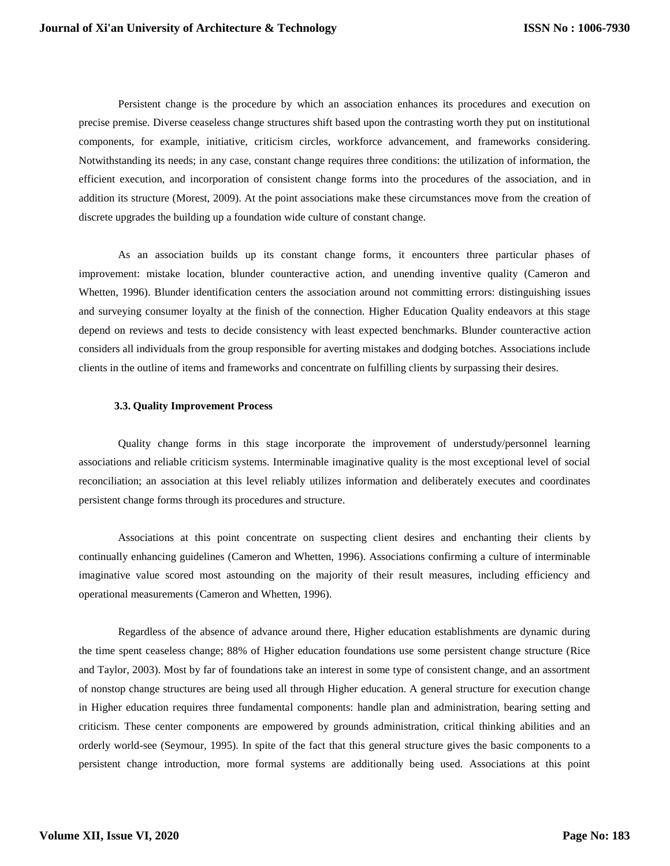Persistent change is the procedure by which an association enhances its procedures and execution on precise premise. Diverse ceaseless change structures shift based upon the contrasting worth they put on institutional components, for example, initiative, criticism circles, workforce advancement, and frameworks considering. Notwithstanding its needs; in any case, constant change requires three conditions: the utilization of information, the efficient execution, and incorporation of consistent change forms into the procedures of the association, and in addition its structure (Morest, 2009). At the point associations make these circumstances move from the creation of discrete upgrades the building up a foundation wide culture of constant change.

As an association builds up its constant change forms, it encounters three particular phases of improvement: mistake location, blunder counteractive action, and unending inventive quality (Cameron and Whetten, 1996). Blunder identification centers the association around not committing errors: distinguishing issues and surveying consumer loyalty at the finish of the connection. Higher Education Quality endeavors at this stage depend on reviews and tests to decide consistency with least expected benchmarks. Blunder counteractive action considers all individuals from the group responsible for averting mistakes and dodging botches. Associations include clients in the outline of items and frameworks and concentrate on fulfilling clients by surpassing their desires.

# **3.3. Quality Improvement Process**

Quality change forms in this stage incorporate the improvement of understudy/personnel learning associations and reliable criticism systems. Interminable imaginative quality is the most exceptional level of social reconciliation; an association at this level reliably utilizes information and deliberately executes and coordinates persistent change forms through its procedures and structure.

Associations at this point concentrate on suspecting client desires and enchanting their clients by continually enhancing guidelines (Cameron and Whetten, 1996). Associations confirming a culture of interminable imaginative value scored most astounding on the majority of their result measures, including efficiency and operational measurements (Cameron and Whetten, 1996).

Regardless of the absence of advance around there, Higher education establishments are dynamic during the time spent ceaseless change; 88% of Higher education foundations use some persistent change structure (Rice and Taylor, 2003). Most by far of foundations take an interest in some type of consistent change, and an assortment of nonstop change structures are being used all through Higher education. A general structure for execution change in Higher education requires three fundamental components: handle plan and administration, bearing setting and criticism. These center components are empowered by grounds administration, critical thinking abilities and an orderly world-see (Seymour, 1995). In spite of the fact that this general structure gives the basic components to a persistent change introduction, more formal systems are additionally being used. Associations at this point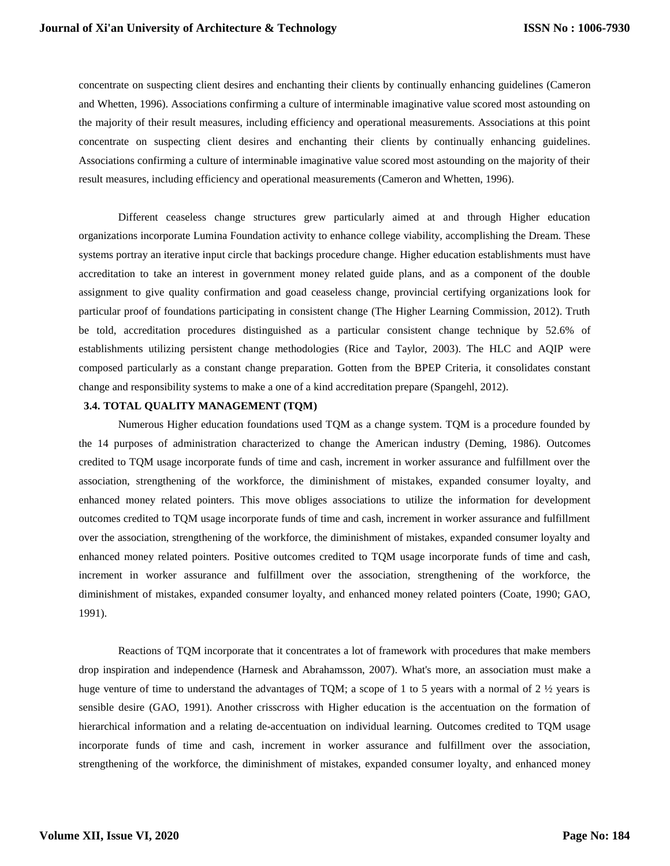concentrate on suspecting client desires and enchanting their clients by continually enhancing guidelines (Cameron and Whetten, 1996). Associations confirming a culture of interminable imaginative value scored most astounding on the majority of their result measures, including efficiency and operational measurements. Associations at this point concentrate on suspecting client desires and enchanting their clients by continually enhancing guidelines. Associations confirming a culture of interminable imaginative value scored most astounding on the majority of their result measures, including efficiency and operational measurements (Cameron and Whetten, 1996).

Different ceaseless change structures grew particularly aimed at and through Higher education organizations incorporate Lumina Foundation activity to enhance college viability, accomplishing the Dream. These systems portray an iterative input circle that backings procedure change. Higher education establishments must have accreditation to take an interest in government money related guide plans, and as a component of the double assignment to give quality confirmation and goad ceaseless change, provincial certifying organizations look for particular proof of foundations participating in consistent change (The Higher Learning Commission, 2012). Truth be told, accreditation procedures distinguished as a particular consistent change technique by 52.6% of establishments utilizing persistent change methodologies (Rice and Taylor, 2003). The HLC and AQIP were composed particularly as a constant change preparation. Gotten from the BPEP Criteria, it consolidates constant change and responsibility systems to make a one of a kind accreditation prepare (Spangehl, 2012).

# **3.4. TOTAL QUALITY MANAGEMENT (TQM)**

Numerous Higher education foundations used TQM as a change system. TQM is a procedure founded by the 14 purposes of administration characterized to change the American industry (Deming, 1986). Outcomes credited to TQM usage incorporate funds of time and cash, increment in worker assurance and fulfillment over the association, strengthening of the workforce, the diminishment of mistakes, expanded consumer loyalty, and enhanced money related pointers. This move obliges associations to utilize the information for development outcomes credited to TQM usage incorporate funds of time and cash, increment in worker assurance and fulfillment over the association, strengthening of the workforce, the diminishment of mistakes, expanded consumer loyalty and enhanced money related pointers. Positive outcomes credited to TQM usage incorporate funds of time and cash, increment in worker assurance and fulfillment over the association, strengthening of the workforce, the diminishment of mistakes, expanded consumer loyalty, and enhanced money related pointers (Coate, 1990; GAO, 1991).

Reactions of TQM incorporate that it concentrates a lot of framework with procedures that make members drop inspiration and independence (Harnesk and Abrahamsson, 2007). What's more, an association must make a huge venture of time to understand the advantages of TQM; a scope of 1 to 5 years with a normal of 2  $\frac{1}{2}$  years is sensible desire (GAO, 1991). Another crisscross with Higher education is the accentuation on the formation of hierarchical information and a relating de-accentuation on individual learning. Outcomes credited to TQM usage incorporate funds of time and cash, increment in worker assurance and fulfillment over the association, strengthening of the workforce, the diminishment of mistakes, expanded consumer loyalty, and enhanced money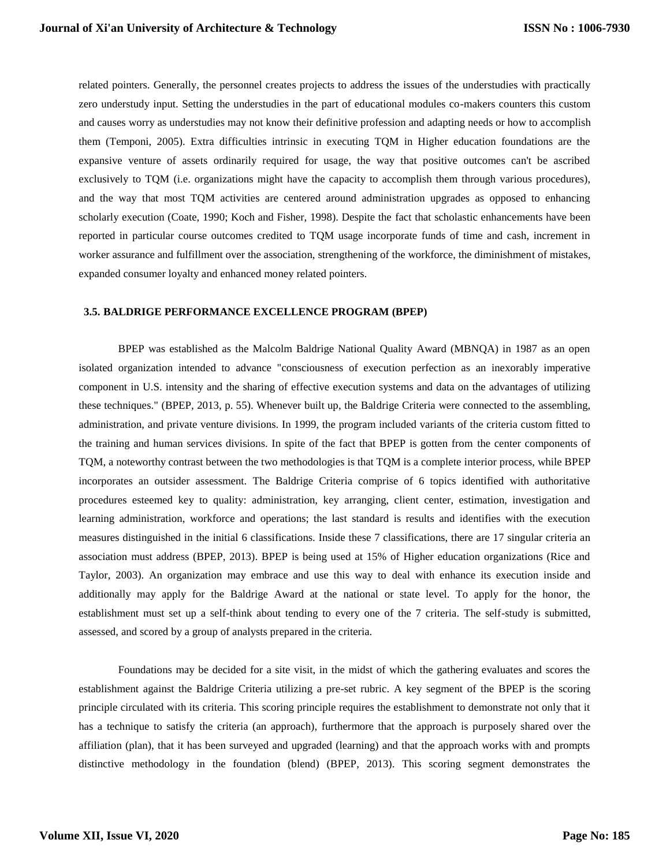related pointers. Generally, the personnel creates projects to address the issues of the understudies with practically zero understudy input. Setting the understudies in the part of educational modules co-makers counters this custom and causes worry as understudies may not know their definitive profession and adapting needs or how to accomplish them (Temponi, 2005). Extra difficulties intrinsic in executing TQM in Higher education foundations are the expansive venture of assets ordinarily required for usage, the way that positive outcomes can't be ascribed exclusively to TQM (i.e. organizations might have the capacity to accomplish them through various procedures), and the way that most TQM activities are centered around administration upgrades as opposed to enhancing scholarly execution (Coate, 1990; Koch and Fisher, 1998). Despite the fact that scholastic enhancements have been reported in particular course outcomes credited to TQM usage incorporate funds of time and cash, increment in worker assurance and fulfillment over the association, strengthening of the workforce, the diminishment of mistakes, expanded consumer loyalty and enhanced money related pointers.

#### **3.5. BALDRIGE PERFORMANCE EXCELLENCE PROGRAM (BPEP)**

BPEP was established as the Malcolm Baldrige National Quality Award (MBNQA) in 1987 as an open isolated organization intended to advance "consciousness of execution perfection as an inexorably imperative component in U.S. intensity and the sharing of effective execution systems and data on the advantages of utilizing these techniques." (BPEP, 2013, p. 55). Whenever built up, the Baldrige Criteria were connected to the assembling, administration, and private venture divisions. In 1999, the program included variants of the criteria custom fitted to the training and human services divisions. In spite of the fact that BPEP is gotten from the center components of TQM, a noteworthy contrast between the two methodologies is that TQM is a complete interior process, while BPEP incorporates an outsider assessment. The Baldrige Criteria comprise of 6 topics identified with authoritative procedures esteemed key to quality: administration, key arranging, client center, estimation, investigation and learning administration, workforce and operations; the last standard is results and identifies with the execution measures distinguished in the initial 6 classifications. Inside these 7 classifications, there are 17 singular criteria an association must address (BPEP, 2013). BPEP is being used at 15% of Higher education organizations (Rice and Taylor, 2003). An organization may embrace and use this way to deal with enhance its execution inside and additionally may apply for the Baldrige Award at the national or state level. To apply for the honor, the establishment must set up a self-think about tending to every one of the 7 criteria. The self-study is submitted, assessed, and scored by a group of analysts prepared in the criteria.

Foundations may be decided for a site visit, in the midst of which the gathering evaluates and scores the establishment against the Baldrige Criteria utilizing a pre-set rubric. A key segment of the BPEP is the scoring principle circulated with its criteria. This scoring principle requires the establishment to demonstrate not only that it has a technique to satisfy the criteria (an approach), furthermore that the approach is purposely shared over the affiliation (plan), that it has been surveyed and upgraded (learning) and that the approach works with and prompts distinctive methodology in the foundation (blend) (BPEP, 2013). This scoring segment demonstrates the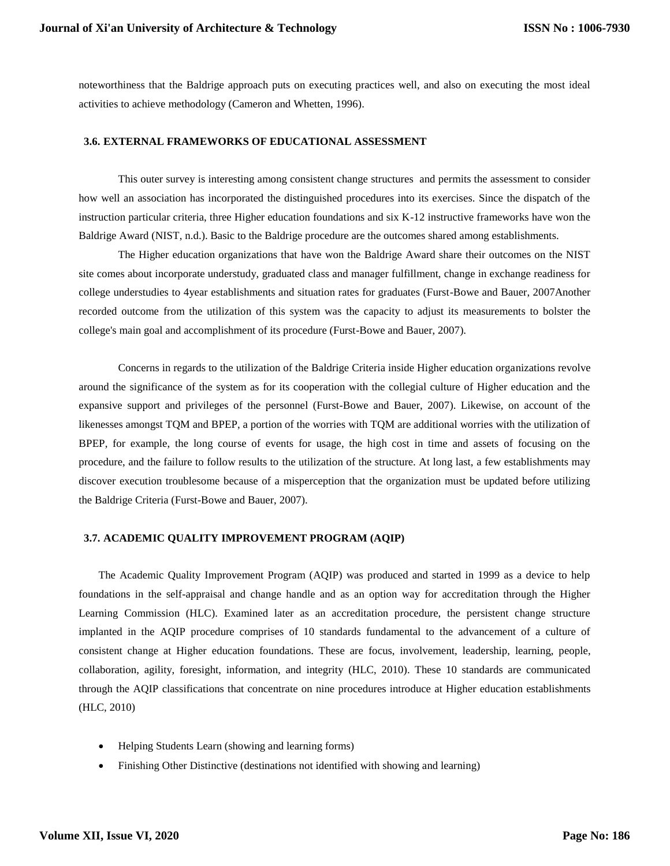noteworthiness that the Baldrige approach puts on executing practices well, and also on executing the most ideal activities to achieve methodology (Cameron and Whetten, 1996).

## **3.6. EXTERNAL FRAMEWORKS OF EDUCATIONAL ASSESSMENT**

This outer survey is interesting among consistent change structures and permits the assessment to consider how well an association has incorporated the distinguished procedures into its exercises. Since the dispatch of the instruction particular criteria, three Higher education foundations and six K-12 instructive frameworks have won the Baldrige Award (NIST, n.d.). Basic to the Baldrige procedure are the outcomes shared among establishments.

The Higher education organizations that have won the Baldrige Award share their outcomes on the NIST site comes about incorporate understudy, graduated class and manager fulfillment, change in exchange readiness for college understudies to 4year establishments and situation rates for graduates (Furst-Bowe and Bauer, 2007Another recorded outcome from the utilization of this system was the capacity to adjust its measurements to bolster the college's main goal and accomplishment of its procedure (Furst-Bowe and Bauer, 2007).

Concerns in regards to the utilization of the Baldrige Criteria inside Higher education organizations revolve around the significance of the system as for its cooperation with the collegial culture of Higher education and the expansive support and privileges of the personnel (Furst-Bowe and Bauer, 2007). Likewise, on account of the likenesses amongst TQM and BPEP, a portion of the worries with TQM are additional worries with the utilization of BPEP, for example, the long course of events for usage, the high cost in time and assets of focusing on the procedure, and the failure to follow results to the utilization of the structure. At long last, a few establishments may discover execution troublesome because of a misperception that the organization must be updated before utilizing the Baldrige Criteria (Furst-Bowe and Bauer, 2007).

## **3.7. ACADEMIC QUALITY IMPROVEMENT PROGRAM (AQIP)**

The Academic Quality Improvement Program (AQIP) was produced and started in 1999 as a device to help foundations in the self-appraisal and change handle and as an option way for accreditation through the Higher Learning Commission (HLC). Examined later as an accreditation procedure, the persistent change structure implanted in the AQIP procedure comprises of 10 standards fundamental to the advancement of a culture of consistent change at Higher education foundations. These are focus, involvement, leadership, learning, people, collaboration, agility, foresight, information, and integrity (HLC, 2010). These 10 standards are communicated through the AQIP classifications that concentrate on nine procedures introduce at Higher education establishments (HLC, 2010)

- Helping Students Learn (showing and learning forms)
- Finishing Other Distinctive (destinations not identified with showing and learning)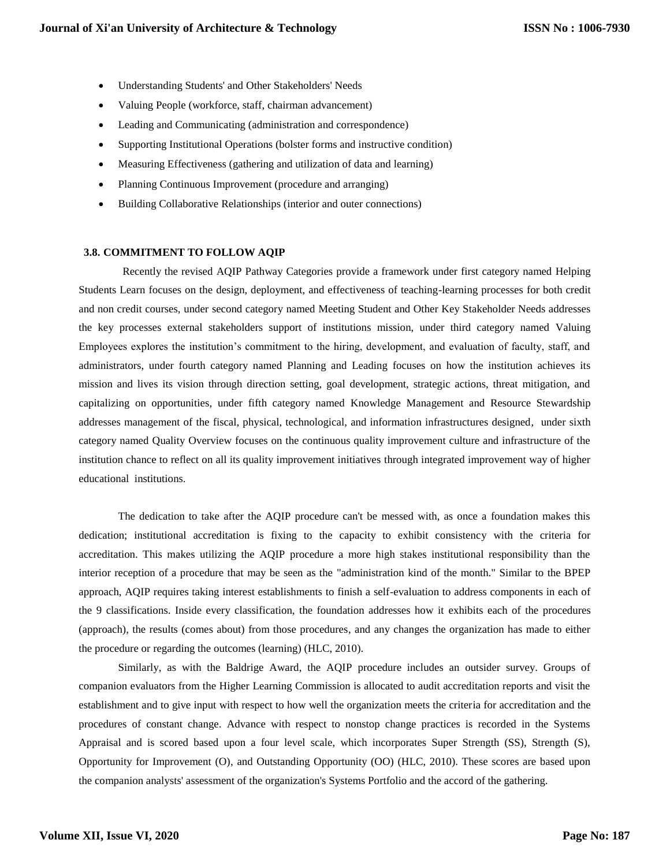- Understanding Students' and Other Stakeholders' Needs
- Valuing People (workforce, staff, chairman advancement)
- Leading and Communicating (administration and correspondence)
- Supporting Institutional Operations (bolster forms and instructive condition)
- Measuring Effectiveness (gathering and utilization of data and learning)
- Planning Continuous Improvement (procedure and arranging)
- Building Collaborative Relationships (interior and outer connections)

# **3.8. COMMITMENT TO FOLLOW AQIP**

 Recently the revised AQIP Pathway Categories provide a framework under first category named Helping Students Learn focuses on the design, deployment, and effectiveness of teaching-learning processes for both credit and non credit courses, under second category named Meeting Student and Other Key Stakeholder Needs addresses the key processes external stakeholders support of institutions mission, under third category named Valuing Employees explores the institution's commitment to the hiring, development, and evaluation of faculty, staff, and administrators, under fourth category named Planning and Leading focuses on how the institution achieves its mission and lives its vision through direction setting, goal development, strategic actions, threat mitigation, and capitalizing on opportunities, under fifth category named Knowledge Management and Resource Stewardship addresses management of the fiscal, physical, technological, and information infrastructures designed, under sixth category named Quality Overview focuses on the continuous quality improvement culture and infrastructure of the institution chance to reflect on all its quality improvement initiatives through integrated improvement way of higher educational institutions.

The dedication to take after the AQIP procedure can't be messed with, as once a foundation makes this dedication; institutional accreditation is fixing to the capacity to exhibit consistency with the criteria for accreditation. This makes utilizing the AQIP procedure a more high stakes institutional responsibility than the interior reception of a procedure that may be seen as the "administration kind of the month." Similar to the BPEP approach, AQIP requires taking interest establishments to finish a self-evaluation to address components in each of the 9 classifications. Inside every classification, the foundation addresses how it exhibits each of the procedures (approach), the results (comes about) from those procedures, and any changes the organization has made to either the procedure or regarding the outcomes (learning) (HLC, 2010).

Similarly, as with the Baldrige Award, the AQIP procedure includes an outsider survey. Groups of companion evaluators from the Higher Learning Commission is allocated to audit accreditation reports and visit the establishment and to give input with respect to how well the organization meets the criteria for accreditation and the procedures of constant change. Advance with respect to nonstop change practices is recorded in the Systems Appraisal and is scored based upon a four level scale, which incorporates Super Strength (SS), Strength (S), Opportunity for Improvement (O), and Outstanding Opportunity (OO) (HLC, 2010). These scores are based upon the companion analysts' assessment of the organization's Systems Portfolio and the accord of the gathering.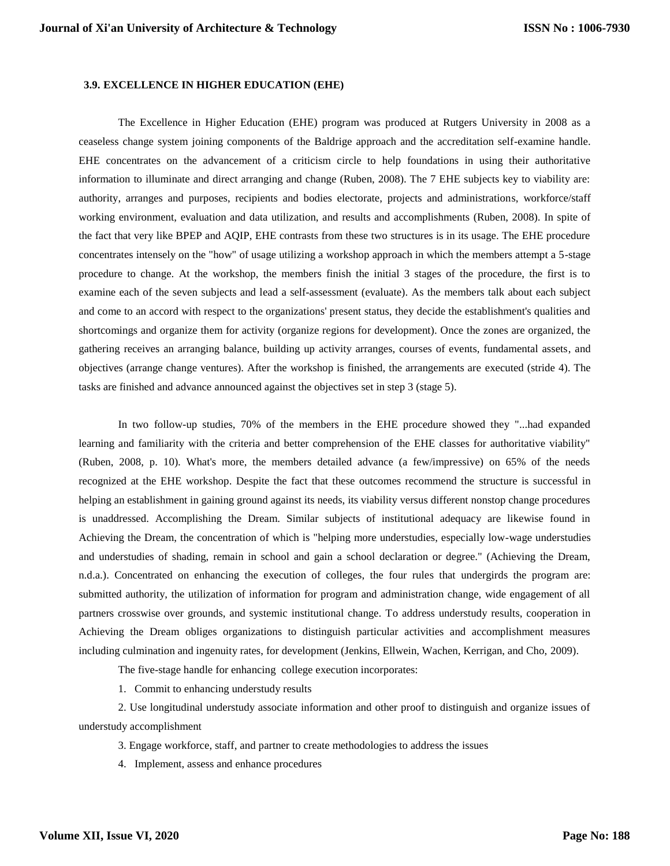# **3.9. EXCELLENCE IN HIGHER EDUCATION (EHE)**

The Excellence in Higher Education (EHE) program was produced at Rutgers University in 2008 as a ceaseless change system joining components of the Baldrige approach and the accreditation self-examine handle. EHE concentrates on the advancement of a criticism circle to help foundations in using their authoritative information to illuminate and direct arranging and change (Ruben, 2008). The 7 EHE subjects key to viability are: authority, arranges and purposes, recipients and bodies electorate, projects and administrations, workforce/staff working environment, evaluation and data utilization, and results and accomplishments (Ruben, 2008). In spite of the fact that very like BPEP and AQIP, EHE contrasts from these two structures is in its usage. The EHE procedure concentrates intensely on the "how" of usage utilizing a workshop approach in which the members attempt a 5-stage procedure to change. At the workshop, the members finish the initial 3 stages of the procedure, the first is to examine each of the seven subjects and lead a self-assessment (evaluate). As the members talk about each subject and come to an accord with respect to the organizations' present status, they decide the establishment's qualities and shortcomings and organize them for activity (organize regions for development). Once the zones are organized, the gathering receives an arranging balance, building up activity arranges, courses of events, fundamental assets, and objectives (arrange change ventures). After the workshop is finished, the arrangements are executed (stride 4). The tasks are finished and advance announced against the objectives set in step 3 (stage 5).

In two follow-up studies, 70% of the members in the EHE procedure showed they "...had expanded learning and familiarity with the criteria and better comprehension of the EHE classes for authoritative viability" (Ruben, 2008, p. 10). What's more, the members detailed advance (a few/impressive) on 65% of the needs recognized at the EHE workshop. Despite the fact that these outcomes recommend the structure is successful in helping an establishment in gaining ground against its needs, its viability versus different nonstop change procedures is unaddressed. Accomplishing the Dream. Similar subjects of institutional adequacy are likewise found in Achieving the Dream, the concentration of which is "helping more understudies, especially low-wage understudies and understudies of shading, remain in school and gain a school declaration or degree." (Achieving the Dream, n.d.a.). Concentrated on enhancing the execution of colleges, the four rules that undergirds the program are: submitted authority, the utilization of information for program and administration change, wide engagement of all partners crosswise over grounds, and systemic institutional change. To address understudy results, cooperation in Achieving the Dream obliges organizations to distinguish particular activities and accomplishment measures including culmination and ingenuity rates, for development (Jenkins, Ellwein, Wachen, Kerrigan, and Cho, 2009).

The five-stage handle for enhancing college execution incorporates:

1. Commit to enhancing understudy results

2. Use longitudinal understudy associate information and other proof to distinguish and organize issues of understudy accomplishment

- 3. Engage workforce, staff, and partner to create methodologies to address the issues
- 4. Implement, assess and enhance procedures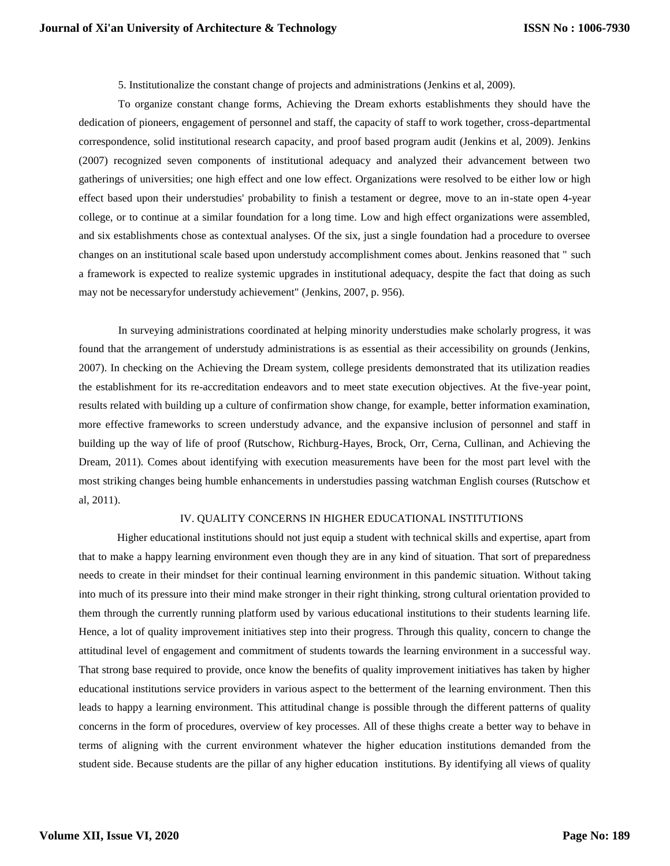5. Institutionalize the constant change of projects and administrations (Jenkins et al, 2009).

To organize constant change forms, Achieving the Dream exhorts establishments they should have the dedication of pioneers, engagement of personnel and staff, the capacity of staff to work together, cross-departmental correspondence, solid institutional research capacity, and proof based program audit (Jenkins et al, 2009). Jenkins (2007) recognized seven components of institutional adequacy and analyzed their advancement between two gatherings of universities; one high effect and one low effect. Organizations were resolved to be either low or high effect based upon their understudies' probability to finish a testament or degree, move to an in-state open 4-year college, or to continue at a similar foundation for a long time. Low and high effect organizations were assembled, and six establishments chose as contextual analyses. Of the six, just a single foundation had a procedure to oversee changes on an institutional scale based upon understudy accomplishment comes about. Jenkins reasoned that " such a framework is expected to realize systemic upgrades in institutional adequacy, despite the fact that doing as such may not be necessaryfor understudy achievement" (Jenkins, 2007, p. 956).

In surveying administrations coordinated at helping minority understudies make scholarly progress, it was found that the arrangement of understudy administrations is as essential as their accessibility on grounds (Jenkins, 2007). In checking on the Achieving the Dream system, college presidents demonstrated that its utilization readies the establishment for its re-accreditation endeavors and to meet state execution objectives. At the five-year point, results related with building up a culture of confirmation show change, for example, better information examination, more effective frameworks to screen understudy advance, and the expansive inclusion of personnel and staff in building up the way of life of proof (Rutschow, Richburg-Hayes, Brock, Orr, Cerna, Cullinan, and Achieving the Dream, 2011). Comes about identifying with execution measurements have been for the most part level with the most striking changes being humble enhancements in understudies passing watchman English courses (Rutschow et al, 2011).

## IV. QUALITY CONCERNS IN HIGHER EDUCATIONAL INSTITUTIONS

 Higher educational institutions should not just equip a student with technical skills and expertise, apart from that to make a happy learning environment even though they are in any kind of situation. That sort of preparedness needs to create in their mindset for their continual learning environment in this pandemic situation. Without taking into much of its pressure into their mind make stronger in their right thinking, strong cultural orientation provided to them through the currently running platform used by various educational institutions to their students learning life. Hence, a lot of quality improvement initiatives step into their progress. Through this quality, concern to change the attitudinal level of engagement and commitment of students towards the learning environment in a successful way. That strong base required to provide, once know the benefits of quality improvement initiatives has taken by higher educational institutions service providers in various aspect to the betterment of the learning environment. Then this leads to happy a learning environment. This attitudinal change is possible through the different patterns of quality concerns in the form of procedures, overview of key processes. All of these thighs create a better way to behave in terms of aligning with the current environment whatever the higher education institutions demanded from the student side. Because students are the pillar of any higher education institutions. By identifying all views of quality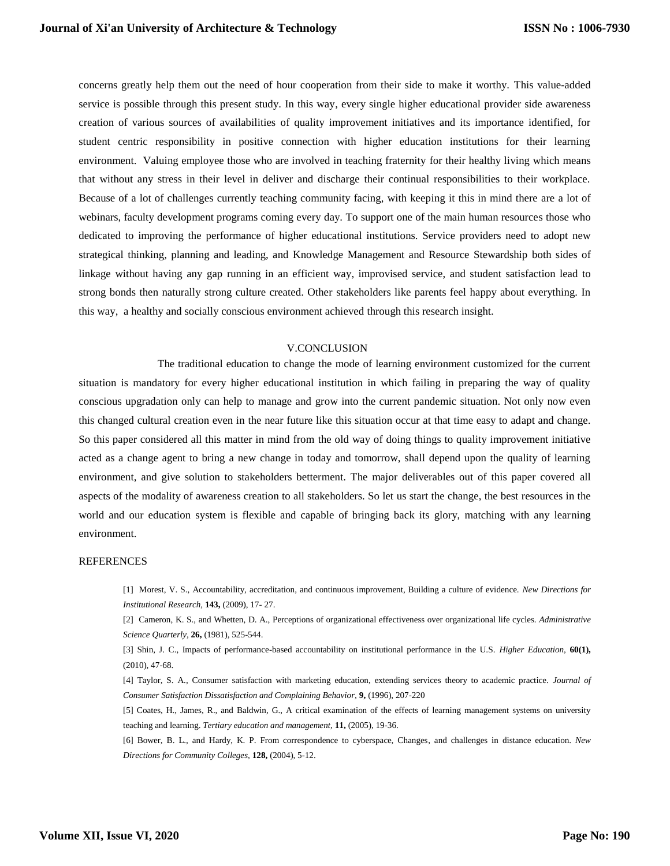concerns greatly help them out the need of hour cooperation from their side to make it worthy. This value-added service is possible through this present study. In this way, every single higher educational provider side awareness creation of various sources of availabilities of quality improvement initiatives and its importance identified, for student centric responsibility in positive connection with higher education institutions for their learning environment. Valuing employee those who are involved in teaching fraternity for their healthy living which means that without any stress in their level in deliver and discharge their continual responsibilities to their workplace. Because of a lot of challenges currently teaching community facing, with keeping it this in mind there are a lot of webinars, faculty development programs coming every day. To support one of the main human resources those who dedicated to improving the performance of higher educational institutions. Service providers need to adopt new strategical thinking, planning and leading, and Knowledge Management and Resource Stewardship both sides of linkage without having any gap running in an efficient way, improvised service, and student satisfaction lead to strong bonds then naturally strong culture created. Other stakeholders like parents feel happy about everything. In this way, a healthy and socially conscious environment achieved through this research insight.

## V.CONCLUSION

The traditional education to change the mode of learning environment customized for the current situation is mandatory for every higher educational institution in which failing in preparing the way of quality conscious upgradation only can help to manage and grow into the current pandemic situation. Not only now even this changed cultural creation even in the near future like this situation occur at that time easy to adapt and change. So this paper considered all this matter in mind from the old way of doing things to quality improvement initiative acted as a change agent to bring a new change in today and tomorrow, shall depend upon the quality of learning environment, and give solution to stakeholders betterment. The major deliverables out of this paper covered all aspects of the modality of awareness creation to all stakeholders. So let us start the change, the best resources in the world and our education system is flexible and capable of bringing back its glory, matching with any learning environment.

## REFERENCES

[1] Morest, V. S., Accountability, accreditation, and continuous improvement, Building a culture of evidence. *New Directions for Institutional Research,* **143,** (2009), 17- 27.

[2] Cameron, K. S., and Whetten, D. A., Perceptions of organizational effectiveness over organizational life cycles. *Administrative Science Quarterly,* **26,** (1981), 525-544.

[3] Shin, J. C., Impacts of performance-based accountability on institutional performance in the U.S. *Higher Education,* **60(1),** (2010), 47-68.

[4] Taylor, S. A., Consumer satisfaction with marketing education, extending services theory to academic practice. *Journal of Consumer Satisfaction Dissatisfaction and Complaining Behavior,* **9,** (1996), 207-220

[5] Coates, H., James, R., and Baldwin, G., A critical examination of the effects of learning management systems on university teaching and learning. *Tertiary education and management,* **11,** (2005), 19-36.

[6] Bower, B. L., and Hardy, K. P. From correspondence to cyberspace, Changes, and challenges in distance education. *New Directions for Community Colleges,* **128,** (2004), 5-12.